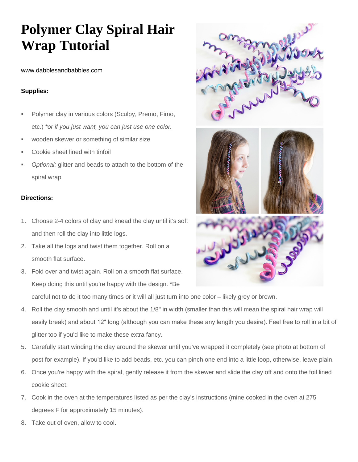## **Polymer Clay Spiral Hair Wrap Tutorial**

www.dabblesandbabbles.com

## **Supplies:**

- Polymer clay in various colors (Sculpy, Premo, Fimo, etc.) *\*or if you just want, you can just use one color.*
- wooden skewer or something of similar size
- Cookie sheet lined with tinfoil
- *Optional:* glitter and beads to attach to the bottom of the spiral wrap

## **Directions:**

- 1. Choose 2-4 colors of clay and knead the clay until it's soft and then roll the clay into little logs.
- 2. Take all the logs and twist them together. Roll on a smooth flat surface.
- 3. Fold over and twist again. Roll on a smooth flat surface. Keep doing this until you're happy with the design. \*Be



careful not to do it too many times or it will all just turn into one color – likely grey or brown.

- 4. Roll the clay smooth and until it's about the 1/8" in width (smaller than this will mean the spiral hair wrap will easily break) and about 12″ long (although you can make these any length you desire). Feel free to roll in a bit of glitter too if you'd like to make these extra fancy.
- 5. Carefully start winding the clay around the skewer until you've wrapped it completely (see photo at bottom of post for example). If you'd like to add beads, etc. you can pinch one end into a little loop, otherwise, leave plain.
- 6. Once you're happy with the spiral, gently release it from the skewer and slide the clay off and onto the foil lined cookie sheet.
- 7. Cook in the oven at the temperatures listed as per the clay's instructions (mine cooked in the oven at 275 degrees F for approximately 15 minutes).
- 8. Take out of oven, allow to cool.